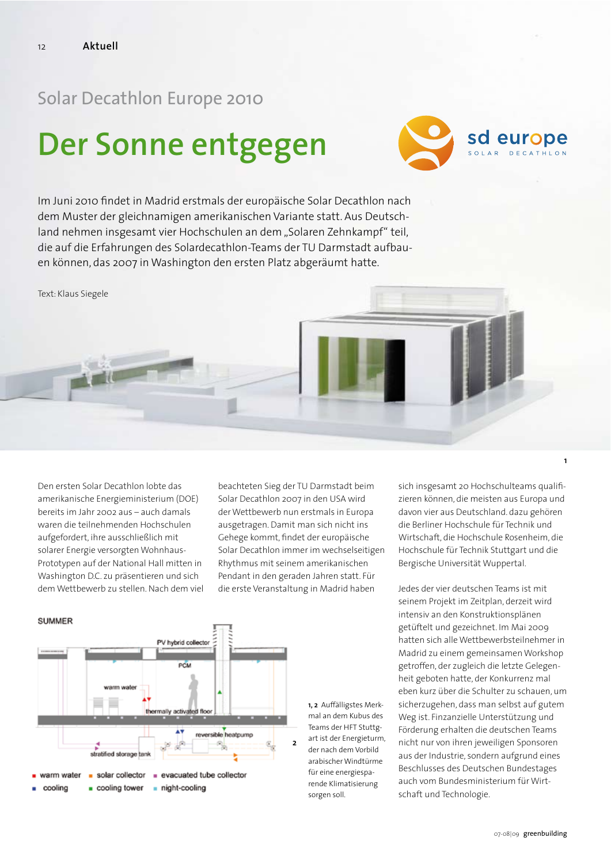## Solar Decathlon Europe 2010

## Der Sonne entgegen



Im Juni 2010 findet in Madrid erstmals der europäische Solar Decathlon nach dem Muster der gleichnamigen amerikanischen Variante statt. Aus Deutschland nehmen insgesamt vier Hochschulen an dem "Solaren Zehnkampf" teil, die auf die Erfahrungen des Solardecathlon-Teams der TU Darmstadt aufbauen können, das 2007 in Washington den ersten Platz abgeräumt hatte.

Text: Klaus Siegele

Den ersten Solar Decathlon lobte das amerikanische Energieministerium (DOE) bereits im Jahr 2002 aus - auch damals waren die teilnehmenden Hochschulen aufgefordert, ihre ausschließlich mit solarer Energie versorgten Wohnhaus-Prototypen auf der National Hall mitten in Washington D.C. zu präsentieren und sich dem Wettbewerb zu stellen. Nach dem viel beachteten Sieg der TU Darmstadt beim Solar Decathlon 2007 in den USA wird der Wettbewerb nun erstmals in Europa ausgetragen. Damit man sich nicht ins Gehege kommt, findet der europäische Solar Decathlon immer im wechselseitigen Rhythmus mit seinem amerikanischen Pendant in den geraden Jahren statt. Für die erste Veranstaltung in Madrid haben



1, 2 Auffälligstes Merkmal an dem Kubus des Teams der HFT Stuttgart ist der Energieturm. der nach dem Vorbild arabischer Windtürme für eine energiesparende Klimatisierung sorgen soll.

sich insgesamt 20 Hochschulteams qualifizieren können, die meisten aus Europa und davon vier aus Deutschland. dazu gehören die Berliner Hochschule für Technik und Wirtschaft, die Hochschule Rosenheim, die Hochschule für Technik Stuttgart und die Bergische Universität Wuppertal.

 $\mathbf{1}$ 

Jedes der vier deutschen Teams ist mit seinem Projekt im Zeitplan, derzeit wird intensiv an den Konstruktionsplänen getüftelt und gezeichnet. Im Mai 2009 hatten sich alle Wettbewerbsteilnehmer in Madrid zu einem gemeinsamen Workshop getroffen, der zugleich die letzte Gelegenheit geboten hatte, der Konkurrenz mal eben kurz über die Schulter zu schauen, um sicherzugehen, dass man selbst auf gutem Weg ist. Finzanzielle Unterstützung und Förderung erhalten die deutschen Teams nicht nur von ihren jeweiligen Sponsoren aus der Industrie, sondern aufgrund eines Beschlusses des Deutschen Bundestages auch vom Bundesministerium für Wirtschaft und Technologie.